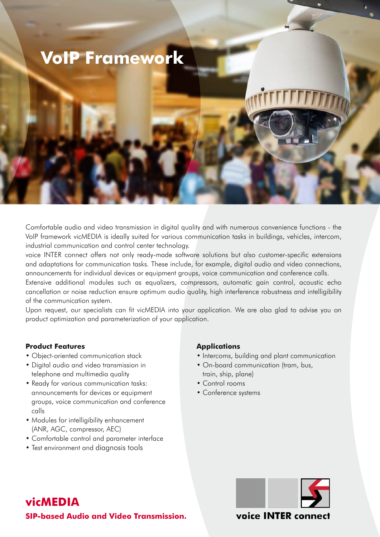# **VoIP Framework**

Comfortable audio and video transmission in digital quality and with numerous convenience functions - the VoIP framework vicMEDIA is ideally suited for various communication tasks in buildings, vehicles, intercom, industrial communication and control center technology.

voice INTER connect offers not only ready-made software solutions but also customer-specific extensions and adaptations for communication tasks. These include, for example, digital audio and video connections, announcements for individual devices or equipment groups, voice communication and conference calls.

Extensive additional modules such as equalizers, compressors, automatic gain control, acoustic echo cancellation or noise reduction ensure optimum audio quality, high interference robustness and intelligibility of the communication system.

Upon request, our specialists can fit vicMEDIA into your application. We are also glad to advise you on product optimization and parameterization of your application.

### **Product Features**

- Object-oriented communication stack
- Digital audio and video transmission in telephone and multimedia quality
- Ready for various communication tasks: announcements for devices or equipment groups, voice communication and conference calls
- Modules for intelligibility enhancement (ANR, AGC, compressor, AEC)
- Comfortable control and parameter interface
- Test environment and diagnosis tools

#### **Applications**

- Intercoms, building and plant communication
- On-board communication (tram, bus, train, ship, plane)
- Control rooms
- Conference systems



**SIP-based Audio and Video Transmission.**